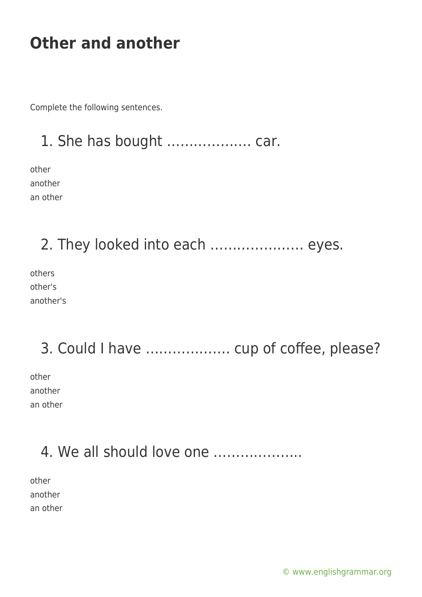Complete the following sentences.

## 1. She has bought ………………. car.

other another an other

2. They looked into each ………………… eyes.

others other's another's

# 3. Could I have ………………. cup of coffee, please?

other another an other

### 4. We all should love one ………………..

other another an other

[© www.englishgrammar.org](https://www.englishgrammar.org/)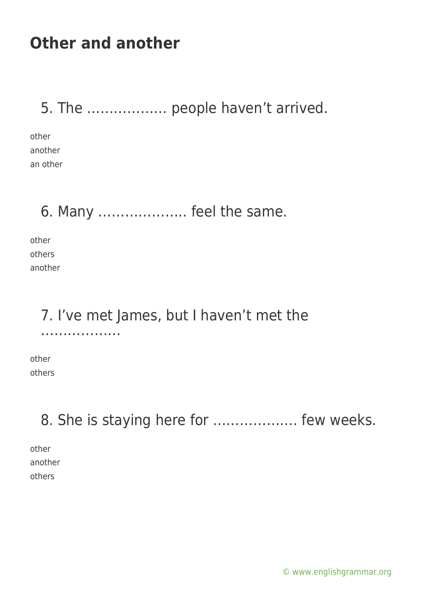5. The ……………… people haven't arrived.

other another an other

#### 6. Many ……………….. feel the same.

other others another

## 7. I've met James, but I haven't met the

other others

………………

8. She is staying here for ………………. few weeks.

other another others

[© www.englishgrammar.org](https://www.englishgrammar.org/)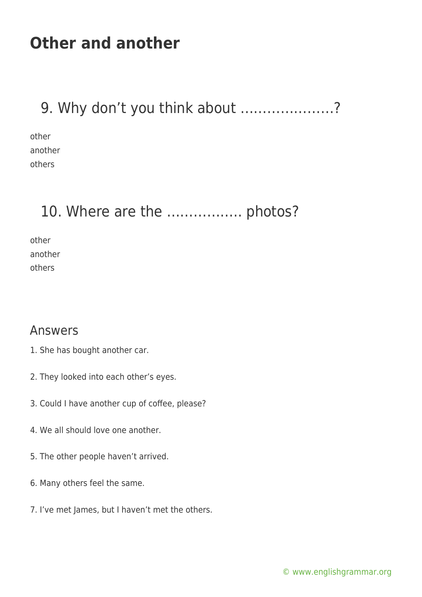#### 9. Why don't you think about …………………?

other another others

### 10. Where are the ................... photos?

other another others

#### Answers

- 1. She has bought another car.
- 2. They looked into each other's eyes.
- 3. Could I have another cup of coffee, please?
- 4. We all should love one another.
- 5. The other people haven't arrived.
- 6. Many others feel the same.
- 7. I've met James, but I haven't met the others.